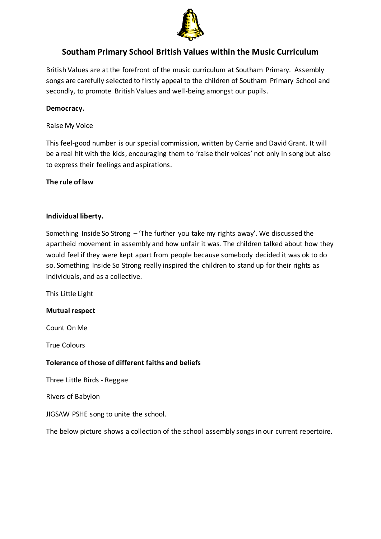

# **Southam Primary School British Values within the Music Curriculum**

British Values are at the forefront of the music curriculum at Southam Primary. Assembly songs are carefully selected to firstly appeal to the children of Southam Primary School and secondly, to promote British Values and well-being amongst our pupils.

## **Democracy.**

#### Raise My Voice

This feel-good number is our special commission, written by Carrie and David Grant. It will be a real hit with the kids, encouraging them to 'raise their voices' not only in song but also to express their feelings and aspirations.

### **The rule of law**

### **Individual liberty.**

Something Inside So Strong – 'The further you take my rights away'. We discussed the apartheid movement in assembly and how unfair it was. The children talked about how they would feel if they were kept apart from people because somebody decided it was ok to do so. Something Inside So Strong really inspired the children to stand up for their rights as individuals, and as a collective.

This Little Light

### **Mutual respect**

Count On Me

True Colours

### **Tolerance of those of different faiths and beliefs**

Three Little Birds - Reggae

Rivers of Babylon

JIGSAW PSHE song to unite the school.

The below picture shows a collection of the school assembly songs in our current repertoire.